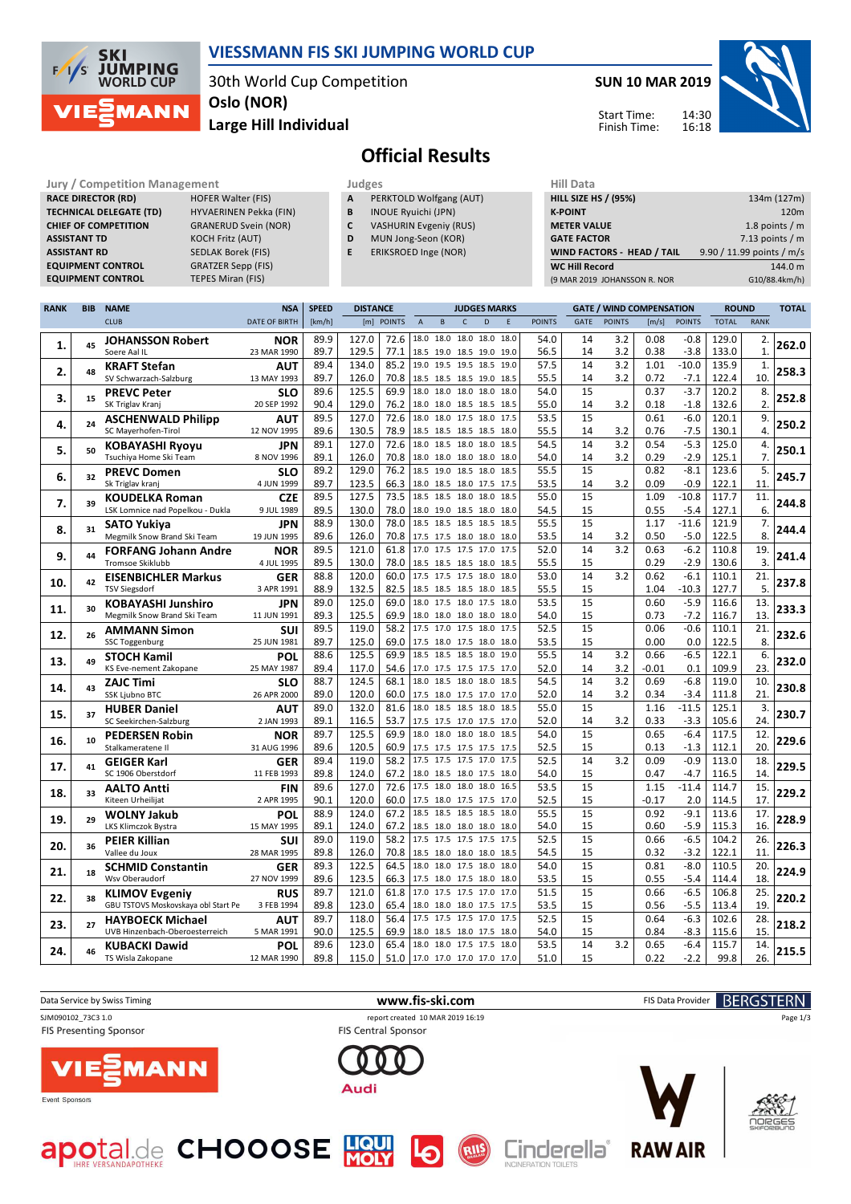

### **VIESSMANN FIS SKI JUMPING WORLD CUP**

30th World Cup Competition **Oslo (NOR)**

**Large Hill Individual**

**SUN 10 MAR 2019**

Start Time: Finish Time:



# **Official Results**

Jury / Competition Management<br>**RACE DIRECTOR (RD)** HOFER Walter (FIS) **A** PERKTOLD Wolfgang (AUT) HILL SIZE **RACE DIRECTOR (RD) CHIEF OF COMPETITION ASSISTANT TD** KOCH Fritz (AUT) **ASSISTANT RD** SEDLAK Borek (FIS)<br>**EQUIPMENT CONTROL** GRATZER Sepp (FIS) **EQUIPMENT CONTROL** 

**TECHNICAL DELEGATE (TD)** HYVAERINEN Pekka (FIN)<br> **CHIEF OF COMPETITION** GRANERUD Svein (NOR) **EQUIPMENT CONTROL TEPES Miran (FIS)** 

- **A** PERKTOLD Wolfgang (AUT)
- **B** INOUE Ryuichi (JPN)
- **C** VASHURIN Evgeniy (RUS) **D** MUN Jong-Seon (KOR)
	-
- **E** ERIKSROED Inge (NOR)

| нш рата                      |                           |
|------------------------------|---------------------------|
| <b>HILL SIZE HS / (95%)</b>  | 134m (127m)               |
| <b>K-POINT</b>               | 120 <sub>m</sub>          |
| <b>METER VALUE</b>           | 1.8 points $/m$           |
| <b>GATE FACTOR</b>           | 7.13 points $/m$          |
| WIND FACTORS - HEAD / TAIL   | 9.90 / 11.99 points / m/s |
| <b>WC Hill Record</b>        | 144.0 m                   |
| (9 MAR 2019 JOHANSSON R. NOR | G10/88.4km/h)             |
|                              |                           |

| <b>RANK</b> | <b>BIB</b> | <b>NAME</b>                                               | <b>NSA</b>                | <b>SPEED</b> | <b>DISTANCE</b> |                                       |                                                 |                |              | <b>JUDGES MARKS</b>      |             |               | <b>GATE / WIND COMPENSATION</b> |               |              |                  | <b>ROUND</b>   |                         |       |
|-------------|------------|-----------------------------------------------------------|---------------------------|--------------|-----------------|---------------------------------------|-------------------------------------------------|----------------|--------------|--------------------------|-------------|---------------|---------------------------------|---------------|--------------|------------------|----------------|-------------------------|-------|
|             |            | <b>CLUB</b>                                               | <b>DATE OF BIRTH</b>      | [km/h]       |                 | [m] POINTS                            | $\mathsf A$                                     | B              | $\mathsf{C}$ | D                        | $\mathsf E$ | <b>POINTS</b> | GATE                            | <b>POINTS</b> | [m/s]        | <b>POINTS</b>    | <b>TOTAL</b>   | <b>RANK</b>             |       |
|             |            | <b>JOHANSSON Robert</b>                                   | <b>NOR</b>                | 89.9         | 127.0           | 72.6                                  | 18.0 18.0 18.0 18.0                             |                |              |                          | 18.0        | 54.0          | 14                              | 3.2           | 0.08         | $-0.8$           | 129.0          | 2.                      |       |
| 1.          | 45         | Soere Aal IL                                              | 23 MAR 1990               | 89.7         | 129.5           | 77.1                                  |                                                 |                |              | 18.5 19.0 18.5 19.0 19.0 |             | 56.5          | 14                              | 3.2           | 0.38         | $-3.8$           | 133.0          | $\mathbf{1}$            | 262.0 |
|             | 48         | <b>KRAFT Stefan</b>                                       | <b>AUT</b>                | 89.4         | 134.0           | 85.2                                  | 19.0 19.5 19.5 18.5                             |                |              |                          | 19.0        | 57.5          | 14                              | 3.2           | 1.01         | $-10.0$          | 135.9          | $\mathbf{1}$            | 258.3 |
| 2.          |            | SV Schwarzach-Salzburg                                    | 13 MAY 1993               | 89.7         | 126.0           | 70.8                                  |                                                 |                |              | 18.5 18.5 18.5 19.0 18.5 |             | 55.5          | 14                              | 3.2           | 0.72         | $-7.1$           | 122.4          | 10.                     |       |
| з.          | 15         | <b>PREVC Peter</b>                                        | <b>SLO</b>                | 89.6         | 125.5           | 69.9                                  | 18.0 18.0 18.0 18.0                             |                |              |                          | 18.0        | 54.0          | 15                              |               | 0.37         | $-3.7$           | 120.2          | 8.                      | 252.8 |
|             |            | SK Triglav Kranj                                          | 20 SEP 1992               | 90.4         | 129.0           | 76.2                                  |                                                 |                |              | 18.0 18.0 18.5 18.5 18.5 |             | 55.0          | 14                              | 3.2           | 0.18         | $-1.8$           | 132.6          | 2.                      |       |
| 4.          | 24         | <b>ASCHENWALD Philipp</b>                                 | <b>AUT</b>                | 89.5         | 127.0           | 72.6                                  | 18.0                                            | 18.0 17.5 18.0 |              |                          | 17.5        | 53.5          | 15                              |               | 0.61         | $-6.0$           | 120.1          | 9.                      | 250.2 |
|             |            | SC Mayerhofen-Tirol                                       | 12 NOV 1995               | 89.6         | 130.5           | 78.9                                  |                                                 |                |              | 18.5 18.5 18.5 18.5 18.0 |             | 55.5          | 14                              | 3.2           | 0.76         | $-7.5$           | 130.1          | 4.                      |       |
| 5.          | 50         | <b>KOBAYASHI Ryoyu</b>                                    | <b>JPN</b>                | 89.1         | 127.0           | 72.6                                  | 18.0 18.5 18.0 18.0                             |                |              |                          | 18.5        | 54.5          | 14                              | 3.2           | 0.54         | $-5.3$           | 125.0          | 4.                      | 250.1 |
|             |            | Tsuchiya Home Ski Team                                    | 8 NOV 1996                | 89.1         | 126.0           | 70.8                                  | 18.0 18.0 18.0 18.0 18.0<br>18.5 19.0 18.5 18.0 |                |              |                          | 18.5        | 54.0          | 14                              | 3.2           | 0.29         | $-2.9$           | 125.1          | 7.                      |       |
| 6.          | 32         | <b>PREVC Domen</b><br>Sk Triglav kranj                    | <b>SLO</b><br>4 JUN 1999  | 89.2<br>89.7 | 129.0<br>123.5  | 76.2<br>66.3                          |                                                 |                |              |                          |             | 55.5<br>53.5  | 15<br>14                        | 3.2           | 0.82<br>0.09 | $-8.1$<br>$-0.9$ | 123.6<br>122.1 | 5.<br>11.               | 245.7 |
|             |            |                                                           |                           | 89.5         | 127.5           | 73.5                                  | 18.0 18.5 18.0 17.5 17.5<br>18.5 18.5 18.0 18.0 |                |              |                          | 18.5        | 55.0          | 15                              |               | 1.09         | $-10.8$          | 117.7          | 11.                     |       |
| 7.          | 39         | <b>KOUDELKA Roman</b><br>LSK Lomnice nad Popelkou - Dukla | <b>CZE</b><br>9 JUL 1989  | 89.5         | 130.0           | 78.0                                  | 18.0 19.0 18.5 18.0                             |                |              |                          | 18.0        | 54.5          | 15                              |               | 0.55         | $-5.4$           | 127.1          | 6.                      | 244.8 |
|             |            | <b>SATO Yukiva</b>                                        | JPN                       | 88.9         | 130.0           | 78.0                                  | 18.5 18.5 18.5 18.5                             |                |              |                          | 18.5        | 55.5          | 15                              |               | 1.17         | $-11.6$          | 121.9          | 7.                      |       |
| 8.          | 31         | Megmilk Snow Brand Ski Team                               | 19 JUN 1995               | 89.6         | 126.0           | 70.8                                  | 17.5 17.5 18.0 18.0 18.0                        |                |              |                          |             | 53.5          | 14                              | 3.2           | 0.50         | $-5.0$           | 122.5          | 8.                      | 244.4 |
|             |            | <b>FORFANG Johann Andre</b>                               | <b>NOR</b>                | 89.5         | 121.0           | 61.8                                  | 17.0 17.5 17.5 17.0                             |                |              |                          | 17.5        | 52.0          | 14                              | 3.2           | 0.63         | $-6.2$           | 110.8          | 19.                     |       |
| 9.          | 44         | <b>Tromsoe Skiklubb</b>                                   | 4 JUL 1995                | 89.5         | 130.0           | 78.0                                  | 18.5 18.5 18.5 18.0 18.5                        |                |              |                          |             | 55.5          | 15                              |               | 0.29         | $-2.9$           | 130.6          | $\overline{3}$ .        | 241.4 |
|             |            | <b>EISENBICHLER Markus</b>                                | <b>GER</b>                | 88.8         | 120.0           | 60.0                                  | 17.5 17.5 17.5 18.0                             |                |              |                          | 18.0        | 53.0          | 14                              | 3.2           | 0.62         | $-6.1$           | 110.1          | 21.                     |       |
| 10.         | 42         | <b>TSV Siegsdorf</b>                                      | 3 APR 1991                | 88.9         | 132.5           | 82.5                                  | 18.5 18.5 18.5 18.0 18.5                        |                |              |                          |             | 55.5          | 15                              |               | 1.04         | $-10.3$          | 127.7          | 5.                      | 237.8 |
|             | 30         | <b>KOBAYASHI Junshiro</b>                                 | JPN                       | 89.0         | 125.0           | 69.0                                  | 18.0 17.5 18.0 17.5 18.0                        |                |              |                          |             | 53.5          | 15                              |               | 0.60         | $-5.9$           | 116.6          | 13.                     |       |
| 11.         |            | Megmilk Snow Brand Ski Team                               | 11 JUN 1991               | 89.3         | 125.5           | 69.9                                  | 18.0 18.0 18.0 18.0 18.0                        |                |              |                          |             | 54.0          | 15                              |               | 0.73         | $-7.2$           | 116.7          | 13.                     | 233.3 |
| 12.         | 26         | <b>AMMANN Simon</b>                                       | <b>SUI</b>                | 89.5         | 119.0           | 58.2                                  | 17.5 17.0 17.5 18.0                             |                |              |                          | 17.5        | 52.5          | 15                              |               | 0.06         | $-0.6$           | 110.1          | 21.                     | 232.6 |
|             |            | <b>SSC Toggenburg</b>                                     | 25 JUN 1981               | 89.7         | 125.0           | 69.0                                  | 17.5 18.0 17.5 18.0 18.0                        |                |              |                          |             | 53.5          | 15                              |               | 0.00         | 0.0              | 122.5          | 8.                      |       |
| 13.         | 49         | <b>STOCH Kamil</b>                                        | POL                       | 88.6         | 125.5           | 69.9                                  | 18.5 18.5 18.5 18.0                             |                |              |                          | 19.0        | 55.5          | 14                              | 3.2           | 0.66         | $-6.5$           | 122.1          | 6.                      | 232.0 |
|             |            | KS Eve-nement Zakopane                                    | 25 MAY 1987               | 89.4         | 117.0           | 54.6                                  | 17.0 17.5 17.5 17.5 17.0                        |                |              |                          |             | 52.0          | 14                              | 3.2           | $-0.01$      | 0.1              | 109.9          | 23.                     |       |
| 14.         | 43         | <b>ZAJC Timi</b>                                          | <b>SLO</b>                | 88.7         | 124.5           | 68.1                                  | 18.0 18.5 18.0 18.0                             |                |              |                          | 18.5        | 54.5          | 14                              | 3.2           | 0.69         | $-6.8$           | 119.0          | 10.                     | 230.8 |
|             |            | SSK Ljubno BTC                                            | 26 APR 2000               | 89.0         | 120.0           | 60.0                                  | 17.5 18.0 17.5 17.0 17.0                        |                |              |                          |             | 52.0          | 14                              | 3.2           | 0.34         | $-3.4$           | 111.8          | 21                      |       |
| 15.         | 37         | <b>HUBER Daniel</b>                                       | <b>AUT</b>                | 89.0         | 132.0           | 81.6                                  | 18.0 18.5 18.5 18.0                             |                |              |                          | 18.5        | 55.0          | 15                              |               | 1.16         | $-11.5$          | 125.1          | $\overline{3}$ .<br>24. | 230.7 |
|             |            | SC Seekirchen-Salzburg                                    | 2 JAN 1993                | 89.1<br>89.7 | 116.5<br>125.5  | 53.7<br>69.9                          | 17.5 17.5 17.0 17.5 17.0<br>18.0                | 18.0 18.0 18.0 |              |                          | 18.5        | 52.0<br>54.0  | 14<br>15                        | 3.2           | 0.33<br>0.65 | $-3.3$<br>$-6.4$ | 105.6<br>117.5 | 12.                     |       |
| 16.         | 10         | <b>PEDERSEN Robin</b><br>Stalkameratene II                | <b>NOR</b><br>31 AUG 1996 | 89.6         | 120.5           | 60.9                                  | 17.5 17.5 17.5 17.5 17.5                        |                |              |                          |             | 52.5          | 15                              |               | 0.13         | $-1.3$           | 112.1          | 20.                     | 229.6 |
|             |            | <b>GEIGER Karl</b>                                        | GER                       | 89.4         | 119.0           | 58.2                                  | 17.5 17.5 17.5 17.0                             |                |              |                          | 17.5        | 52.5          | 14                              | 3.2           | 0.09         | $-0.9$           | 113.0          | 18.                     |       |
| 17.         | 41         | SC 1906 Oberstdorf                                        | 11 FEB 1993               | 89.8         | 124.0           | 67.2                                  | 18.0 18.5 18.0 17.5 18.0                        |                |              |                          |             | 54.0          | 15                              |               | 0.47         | $-4.7$           | 116.5          | 14.                     | 229.5 |
|             |            | <b>AALTO Antti</b>                                        | <b>FIN</b>                | 89.6         | 127.0           | 72.6                                  | 17.5                                            | 18.0 18.0 18.0 |              |                          | 16.5        | 53.5          | 15                              |               | 1.15         | $-11.4$          | 114.7          | 15.                     |       |
| 18.         | 33         | Kiteen Urheilijat                                         | 2 APR 1995                | 90.1         | 120.0           | 60.0                                  | 17.5 18.0 17.5 17.5 17.0                        |                |              |                          |             | 52.5          | 15                              |               | $-0.17$      | 2.0              | 114.5          | 17.                     | 229.2 |
|             |            | <b>WOLNY Jakub</b>                                        | POL                       | 88.9         | 124.0           | 67.2                                  | 18.5 18.5 18.5 18.5                             |                |              |                          | 18.0        | 55.5          | 15                              |               | 0.92         | $-9.1$           | 113.6          | 17.                     |       |
| 19.         | 29         | LKS Klimczok Bystra                                       | 15 MAY 1995               | 89.1         | 124.0           | 67.2                                  | 18.5 18.0 18.0 18.0 18.0                        |                |              |                          |             | 54.0          | 15                              |               | 0.60         | $-5.9$           | 115.3          | 16.                     | 228.9 |
| 20.         | 36         | <b>PEIER Killian</b>                                      | <b>SUI</b>                | 89.0         | 119.0           | 58.2                                  | 17.5 17.5 17.5 17.5 17.5                        |                |              |                          |             | 52.5          | 15                              |               | 0.66         | $-6.5$           | 104.2          | 26.                     | 226.3 |
|             |            | Vallee du Joux                                            | 28 MAR 1995               | 89.8         | 126.0           | 70.8                                  | 18.5 18.0 18.0 18.0 18.5                        |                |              |                          |             | 54.5          | 15                              |               | 0.32         | $-3.2$           | 122.1          | 11.                     |       |
| 21.         | 18         | <b>SCHMID Constantin</b>                                  | <b>GER</b>                | 89.3         | 122.5           | 64.5                                  | 18.0                                            | 18.0 17.5 18.0 |              |                          | 18.0        | 54.0          | 15                              |               | 0.81         | $-8.0$           | 110.5          | 20.                     | 224.9 |
|             |            | Wsv Oberaudorf                                            | 27 NOV 1999               | 89.6         | 123.5           | 66.3                                  | 17.5 18.0 17.5 18.0 18.0                        |                |              |                          |             | 53.5          | 15                              |               | 0.55         | $-5.4$           | 114.4          | 18.                     |       |
| 22.         | 38         | <b>KLIMOV Evgeniy</b>                                     | <b>RUS</b>                | 89.7         | 121.0           | 61.8                                  | 17.0 17.5 17.5 17.0                             |                |              |                          | 17.0        | 51.5          | 15                              |               | 0.66         | $-6.5$           | 106.8          | 25.                     | 220.2 |
|             |            | GBU TSTOVS Moskovskaya obl Start Pe                       | 3 FEB 1994                | 89.8         | 123.0           | 65.4                                  | 18.0 18.0 18.0 17.5 17.5                        |                |              |                          |             | 53.5          | 15                              |               | 0.56         | $-5.5$           | 113.4          | 19.                     |       |
| 23.         | 27         | <b>HAYBOECK Michael</b>                                   | <b>AUT</b>                | 89.7         | 118.0           | 56.4                                  | 17.5 17.5 17.5 17.0                             |                |              |                          | 17.5        | 52.5          | 15                              |               | 0.64         | $-6.3$           | 102.6          | 28.                     | 218.2 |
|             |            | UVB Hinzenbach-Oberoesterreich                            | 5 MAR 1991                | 90.0         | 125.5           | 69.9                                  | 18.0 18.5 18.0 17.5 18.0                        |                |              |                          |             | 54.0          | 15<br>14                        |               | 0.84         | $-8.3$           | 115.6          | 15.                     |       |
| 24.         | 46         | <b>KUBACKI Dawid</b>                                      | POL<br>12 MAR 1990        | 89.6<br>89.8 | 123.0<br>115.0  | 65.4<br>51.0 17.0 17.0 17.0 17.0 17.0 | 18.0                                            | 18.0 17.5 17.5 |              |                          | 18.0        | 53.5<br>51.0  | 15                              | 3.2           | 0.65<br>0.22 | $-6.4$<br>$-2.2$ | 115.7<br>99.8  | 14.<br>26.              | 215.5 |
|             |            | TS Wisla Zakopane                                         |                           |              |                 |                                       |                                                 |                |              |                          |             |               |                                 |               |              |                  |                |                         |       |



RIIS









**RAW AIR**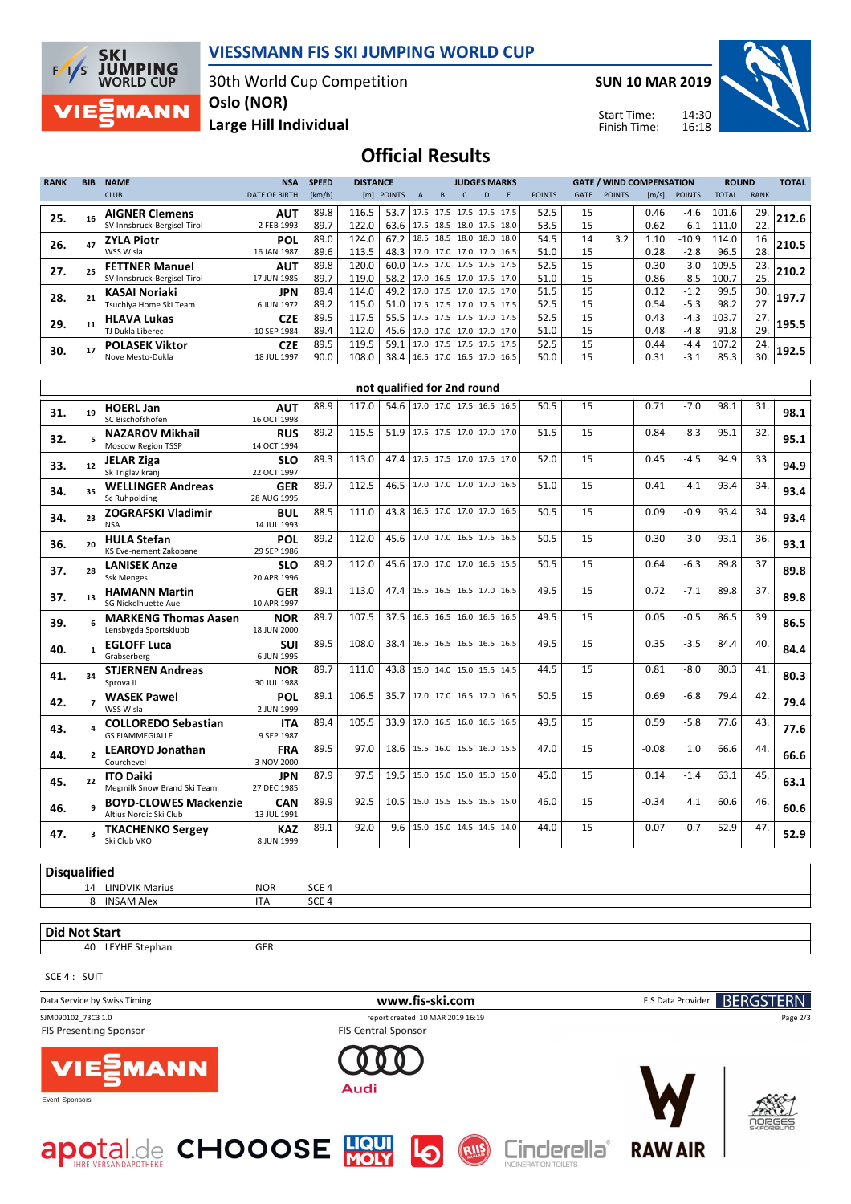

30th World Cup Competition **Oslo (NOR)**

**SUN 10 MAR 2019**

Start Time: Finish Time:



**Large Hill Individual**

**SKI** 

 $F/1/s$ 

**JUMPING**<br>WORLD CUP

**MANN** 

**Official Results**

| <b>RANK</b> | <b>BIB</b> | <b>NAME</b>                 | <b>NSA</b>           | <b>SPEED</b> | <b>DISTANCE</b> | <b>JUDGES MARKS</b>             |  |                          |  |   |                            |               | <b>GATE / WIND COMPENSATION</b> |               |       | <b>ROUND</b>  |              | <b>TOTAL</b> |       |
|-------------|------------|-----------------------------|----------------------|--------------|-----------------|---------------------------------|--|--------------------------|--|---|----------------------------|---------------|---------------------------------|---------------|-------|---------------|--------------|--------------|-------|
|             |            | <b>CLUB</b>                 | <b>DATE OF BIRTH</b> | [km/h]       |                 | [m] POINTS                      |  |                          |  | D |                            | <b>POINTS</b> | <b>GATE</b>                     | <b>POINTS</b> | [m/s] | <b>POINTS</b> | <b>TOTAL</b> | <b>RANK</b>  |       |
| 25.         |            | <b>AIGNER Clemens</b>       | <b>AUT</b>           | 89.8         | 116.5           | 53.7                            |  |                          |  |   | 17.5 17.5 17.5 17.5 17.5   | 52.5          | 15                              |               | 0.46  | $-4.6$        | 101.6        | 29.          | 212.6 |
|             |            | SV Innsbruck-Bergisel-Tirol | 2 FEB 1993           | 89.7         | 122.0           | 63.6 17.5 18.5 18.0 17.5 18.0   |  |                          |  |   |                            | 53.5          | 15                              |               | 0.62  | $-6.1$        | 111.0        | 22.          |       |
| 26.         |            | <b>ZYLA Piotr</b>           | <b>POL</b>           | 89.0         | 124.0           | 67.2                            |  |                          |  |   | 18.5 18.5 18.0 18.0 18.0   | 54.5          | 14                              | 3.2           | 1.10  | $-10.9$       | 114.0        | 16.          | 210.5 |
|             |            | WSS Wisla                   | 16 JAN 1987          | 89.6         | 113.5           | 48.3                            |  |                          |  |   | $17.0$ 17.0 17.0 17.0 16.5 | 51.0          | 15                              |               | 0.28  | $-2.8$        | 96.5         | 28.          |       |
| 27.         |            | <b>FETTNER Manuel</b>       | <b>AUT</b>           | 89.8         | 120.0           | 60.0   17.5 17.0 17.5 17.5 17.5 |  |                          |  |   |                            | 52.5          | 15                              |               | 0.30  | $-3.0$        | 109.5        | 23.          | 210.2 |
|             |            | SV Innsbruck-Bergisel-Tirol | 17 JUN 1985          | 89.7         | 119.0           | 58.2 17.0 16.5 17.0 17.5 17.0   |  |                          |  |   |                            | 51.0          | 15                              |               | 0.86  | $-8.5$        | 100.7        | 25.          |       |
| 28.         |            | <b>KASAI Noriaki</b>        | <b>JPN</b>           | 89.4         | 114.0           | 49.2                            |  |                          |  |   | 17.0 17.5 17.0 17.5 17.0   | 51.5          | 15                              |               | 0.12  | $-1.2$        | 99.5         | 30.          | 197.7 |
|             |            | Tsuchiya Home Ski Team      | 6 JUN 1972           | 89.2         | 115.0           | 51.0 17.5 17.5 17.0 17.5 17.5   |  |                          |  |   |                            | 52.5          | 15                              |               | 0.54  | $-5.3$        | 98.2         | 27.          |       |
| 29.         |            | <b>HLAVA Lukas</b>          | <b>CZE</b>           | 89.5         | 117.5           | 55.5                            |  | 17.5 17.5 17.5 17.0 17.5 |  |   |                            | 52.5          | 15                              |               | 0.43  | $-4.3$        | 103.7        | 27.          | 195.5 |
|             |            | TJ Dukla Liberec            | 10 SEP 1984          | 89.4         | 112.0           | 45.6 17.0 17.0 17.0 17.0 17.0   |  |                          |  |   |                            | 51.0          | 15                              |               | 0.48  | $-4.8$        | 91.8         | 29.          |       |
| 30.         |            | <b>POLASEK Viktor</b>       | <b>CZE</b>           | 89.5         | 119.5           | 59.1                            |  |                          |  |   | 17.0 17.5 17.5 17.5 17.5   | 52.5          | 15                              |               | 0.44  | $-4.4$        | 107.2        | 24.          | 192.5 |
|             |            | Nove Mesto-Dukla            | 18 JUL 1997          | 90.0         | 108.0           | 38.4 16.5 17.0 16.5 17.0 16.5   |  |                          |  |   |                            | 50.0          | 15                              |               | 0.31  | $-3.1$        | 85.3         | 30.          |       |

|     |                          |                                                        |                           |      |       |      | not qualified for 2nd round     |      |    |                |      |     |      |
|-----|--------------------------|--------------------------------------------------------|---------------------------|------|-------|------|---------------------------------|------|----|----------------|------|-----|------|
| 31. | 19                       | <b>HOERL Jan</b><br>SC Bischofshofen                   | <b>AUT</b><br>16 OCT 1998 | 88.9 | 117.0 |      | 54.6   17.0 17.0 17.5 16.5 16.5 | 50.5 | 15 | $-7.0$<br>0.71 | 98.1 | 31. | 98.1 |
| 32. |                          | <b>NAZAROV Mikhail</b><br>Moscow Region TSSP           | <b>RUS</b><br>14 OCT 1994 | 89.2 | 115.5 |      | 51.9 17.5 17.5 17.0 17.0 17.0   | 51.5 | 15 | 0.84<br>$-8.3$ | 95.1 | 32. | 95.1 |
| 33. | 12                       | <b>JELAR Ziga</b><br>Sk Triglav kranj                  | <b>SLO</b><br>22 OCT 1997 | 89.3 | 113.0 | 47.4 | 17.5 17.5 17.0 17.5 17.0        | 52.0 | 15 | 0.45<br>$-4.5$ | 94.9 | 33. | 94.9 |
| 34. | 35                       | <b>WELLINGER Andreas</b><br>Sc Ruhpolding              | <b>GER</b><br>28 AUG 1995 | 89.7 | 112.5 | 46.5 | 17.0 17.0 17.0 17.0 16.5        | 51.0 | 15 | 0.41<br>$-4.1$ | 93.4 | 34. | 93.4 |
| 34. | 23                       | <b>ZOGRAFSKI Vladimir</b><br><b>NSA</b>                | <b>BUL</b><br>14 JUL 1993 | 88.5 | 111.0 | 43.8 | 16.5 17.0 17.0 17.0 16.5        | 50.5 | 15 | 0.09<br>$-0.9$ | 93.4 | 34. | 93.4 |
| 36. | 20                       | <b>HULA Stefan</b><br>KS Eve-nement Zakopane           | POL<br>29 SEP 1986        | 89.2 | 112.0 | 45.6 | 17.0 17.0 16.5 17.5 16.5        | 50.5 | 15 | 0.30<br>$-3.0$ | 93.1 | 36. | 93.1 |
| 37. | 28                       | <b>LANISEK Anze</b><br><b>Ssk Menges</b>               | <b>SLO</b><br>20 APR 1996 | 89.2 | 112.0 | 45.6 | 17.0 17.0 17.0 16.5 15.5        | 50.5 | 15 | 0.64<br>$-6.3$ | 89.8 | 37. | 89.8 |
| 37. | 13                       | <b>HAMANN Martin</b><br>SG Nickelhuette Aue            | <b>GER</b><br>10 APR 1997 | 89.1 | 113.0 | 47.4 | 15.5 16.5 16.5 17.0 16.5        | 49.5 | 15 | 0.72<br>$-7.1$ | 89.8 | 37. | 89.8 |
| 39. |                          | <b>MARKENG Thomas Aasen</b><br>Lensbygda Sportsklubb   | <b>NOR</b><br>18 JUN 2000 | 89.7 | 107.5 | 37.5 | 16.5 16.5 16.0 16.5 16.5        | 49.5 | 15 | 0.05<br>$-0.5$ | 86.5 | 39. | 86.5 |
| 40. | $\mathbf{1}$             | <b>EGLOFF Luca</b><br>Grabserberg                      | <b>SUI</b><br>6 JUN 1995  | 89.5 | 108.0 | 38.4 | 16.5 16.5 16.5 16.5 16.5        | 49.5 | 15 | 0.35<br>$-3.5$ | 84.4 | 40. | 84.4 |
| 41. | 34                       | <b>STJERNEN Andreas</b><br>Sprova IL                   | <b>NOR</b><br>30 JUL 1988 | 89.7 | 111.0 | 43.8 | 15.0 14.0 15.0 15.5 14.5        | 44.5 | 15 | $-8.0$<br>0.81 | 80.3 | 41. | 80.3 |
| 42. |                          | <b>WASEK Pawel</b><br>WSS Wisla                        | <b>POL</b><br>2 JUN 1999  | 89.1 | 106.5 | 35.7 | 17.0 17.0 16.5 17.0 16.5        | 50.5 | 15 | 0.69<br>$-6.8$ | 79.4 | 42. | 79.4 |
| 43. |                          | <b>COLLOREDO Sebastian</b><br><b>GS FIAMMEGIALLE</b>   | <b>ITA</b><br>9 SEP 1987  | 89.4 | 105.5 | 33.9 | 17.0 16.5 16.0 16.5 16.5        | 49.5 | 15 | $-5.8$<br>0.59 | 77.6 | 43. | 77.6 |
| 44. | $\overline{\phantom{a}}$ | <b>LEAROYD Jonathan</b><br>Courchevel                  | <b>FRA</b><br>3 NOV 2000  | 89.5 | 97.0  | 18.6 | 15.5 16.0 15.5 16.0 15.5        | 47.0 | 15 | $-0.08$<br>1.0 | 66.6 | 44. | 66.6 |
| 45. | 22                       | <b>ITO Daiki</b><br>Megmilk Snow Brand Ski Team        | <b>JPN</b><br>27 DEC 1985 | 87.9 | 97.5  |      | 19.5   15.0 15.0 15.0 15.0 15.0 | 45.0 | 15 | 0.14<br>$-1.4$ | 63.1 | 45. | 63.1 |
| 46. |                          | <b>BOYD-CLOWES Mackenzie</b><br>Altius Nordic Ski Club | <b>CAN</b><br>13 JUL 1991 | 89.9 | 92.5  | 10.5 | 15.0 15.5 15.5 15.5 15.0        | 46.0 | 15 | $-0.34$<br>4.1 | 60.6 | 46. | 60.6 |
| 47. |                          | <b>TKACHENKO Sergey</b><br>Ski Club VKO                | <b>KAZ</b><br>8 JUN 1999  | 89.1 | 92.0  |      | 9.6   15.0 15.0 14.5 14.5 14.0  | 44.0 | 15 | $-0.7$<br>0.07 | 52.9 | 47. | 52.9 |

#### **Disqualified**

| wso<br>.                   |                |                                       |  |  |  |  |  |  |  |  |  |
|----------------------------|----------------|---------------------------------------|--|--|--|--|--|--|--|--|--|
| LINDVIK Ma<br>14<br>Marius | <b>NOR</b>     | $\sim$<br>$\sim$<br>コマロ               |  |  |  |  |  |  |  |  |  |
| INS<br>Ale.                | $\sim$<br>11 H | $\sim$ $\sim$ $\sim$<br>$\sim$<br>コマロ |  |  |  |  |  |  |  |  |  |

### **Did Not Start**

40 LEYHE Stephan GER

SCE 4: SUIT

Data Service by Swiss Timing **WWW.fis-Ski.com www.fis-ski.com** FIS Data Provider **BERGSTERN** 

FIS Presenting Sponsor

SJM090102\_73C3 1.0 report created 10 MAR 2019 16:19 **FIS Central Sponsor** 

Audi



Event Sponsors





Page 2/3